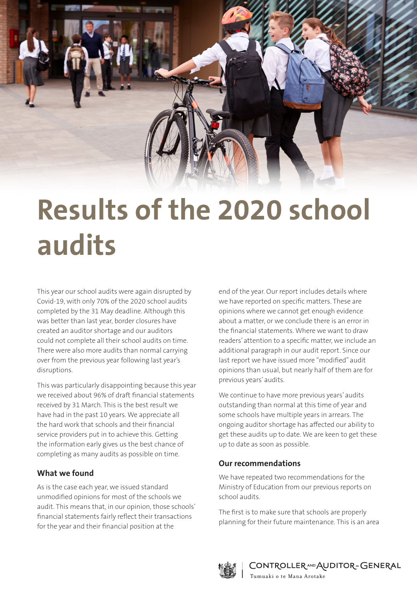

# **Results of the 2020 school audits**

This year our school audits were again disrupted by Covid-19, with only 70% of the 2020 school audits completed by the 31 May deadline. Although this was better than last year, border closures have created an auditor shortage and our auditors could not complete all their school audits on time. There were also more audits than normal carrying over from the previous year following last year's disruptions.

This was particularly disappointing because this year we received about 96% of draft financial statements received by 31 March. This is the best result we have had in the past 10 years. We appreciate all the hard work that schools and their financial service providers put in to achieve this. Getting the information early gives us the best chance of completing as many audits as possible on time.

## **What we found**

As is the case each year, we issued standard unmodified opinions for most of the schools we audit. This means that, in our opinion, those schools' financial statements fairly reflect their transactions for the year and their financial position at the

end of the year. Our report includes details where we have reported on specific matters. These are opinions where we cannot get enough evidence about a matter, or we conclude there is an error in the financial statements. Where we want to draw readers' attention to a specific matter, we include an additional paragraph in our audit report. Since our last report we have issued more "modified" audit opinions than usual, but nearly half of them are for previous years' audits.

We continue to have more previous years' audits outstanding than normal at this time of year and some schools have multiple years in arrears. The ongoing auditor shortage has affected our ability to get these audits up to date. We are keen to get these up to date as soon as possible.

## **Our recommendations**

We have repeated two recommendations for the Ministry of Education from our previous reports on school audits.

The first is to make sure that schools are properly planning for their future maintenance. This is an area